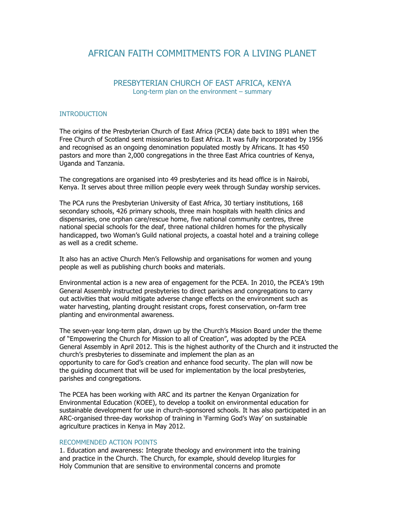## AFRICAN FAITH COMMITMENTS FOR A LIVING PLANET

## PRESBYTERIAN CHURCH OF EAST AFRICA, KENYA Long-term plan on the environment – summary

## INTRODUCTION

The origins of the Presbyterian Church of East Africa (PCEA) date back to 1891 when the Free Church of Scotland sent missionaries to East Africa. It was fully incorporated by 1956 and recognised as an ongoing denomination populated mostly by Africans. It has 450 pastors and more than 2,000 congregations in the three East Africa countries of Kenya, Uganda and Tanzania.

The congregations are organised into 49 presbyteries and its head office is in Nairobi, Kenya. It serves about three million people every week through Sunday worship services.

The PCA runs the Presbyterian University of East Africa, 30 tertiary institutions, 168 secondary schools, 426 primary schools, three main hospitals with health clinics and dispensaries, one orphan care/rescue home, five national community centres, three national special schools for the deaf, three national children homes for the physically handicapped, two Woman's Guild national projects, a coastal hotel and a training college as well as a credit scheme.

It also has an active Church Men's Fellowship and organisations for women and young people as well as publishing church books and materials.

Environmental action is a new area of engagement for the PCEA. In 2010, the PCEA's 19th General Assembly instructed presbyteries to direct parishes and congregations to carry out activities that would mitigate adverse change effects on the environment such as water harvesting, planting drought resistant crops, forest conservation, on-farm tree planting and environmental awareness.

The seven-year long-term plan, drawn up by the Church's Mission Board under the theme of "Empowering the Church for Mission to all of Creation", was adopted by the PCEA General Assembly in April 2012. This is the highest authority of the Church and it instructed the church's presbyteries to disseminate and implement the plan as an opportunity to care for God's creation and enhance food security. The plan will now be the guiding document that will be used for implementation by the local presbyteries, parishes and congregations.

The PCEA has been working with ARC and its partner the Kenyan Organization for Environmental Education (KOEE), to develop a toolkit on environmental education for sustainable development for use in church-sponsored schools. It has also participated in an ARC-organised three-day workshop of training in 'Farming God's Way' on sustainable agriculture practices in Kenya in May 2012.

## RECOMMENDED ACTION POINTS

1. Education and awareness: Integrate theology and environment into the training and practice in the Church. The Church, for example, should develop liturgies for Holy Communion that are sensitive to environmental concerns and promote